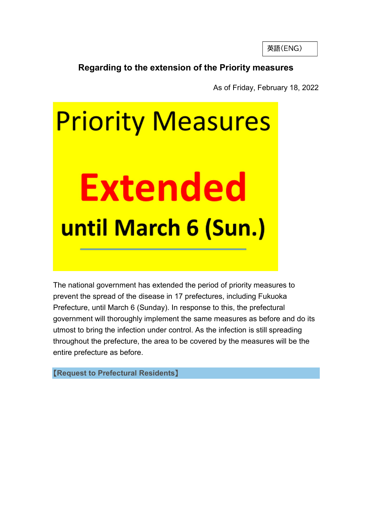英語(ENG)

## Regarding to the extension of the Priority measures

As of Friday, February 18, 2022

# **Priority Measures Extended** until March 6 (Sun.)

The national government has extended the period of priority measures to prevent the spread of the disease in 17 prefectures, including Fukuoka Prefecture, until March 6 (Sunday). In response to this, the prefectural government will thoroughly implement the same measures as before and do its utmost to bring the infection under control. As the infection is still spreading throughout the prefecture, the area to be covered by the measures will be the entire prefecture as before.

【Request to Prefectural Residents】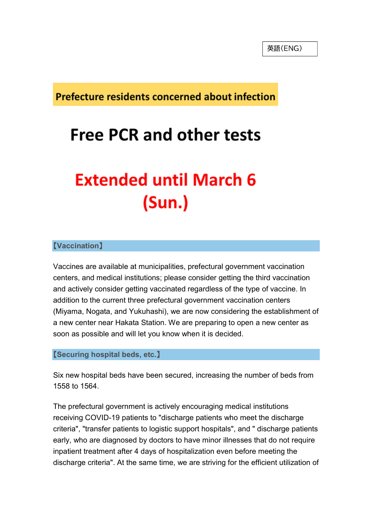**Prefecture residents concerned about infection** 

## **Free PCR and other tests**

## **Extended until March 6**  $(Sun.)$

### 【Vaccination】

Vaccines are available at municipalities, prefectural government vaccination centers, and medical institutions; please consider getting the third vaccination and actively consider getting vaccinated regardless of the type of vaccine. In addition to the current three prefectural government vaccination centers (Miyama, Nogata, and Yukuhashi), we are now considering the establishment of a new center near Hakata Station. We are preparing to open a new center as soon as possible and will let you know when it is decided.

#### 【Securing hospital beds, etc.】

Six new hospital beds have been secured, increasing the number of beds from 1558 to 1564.

The prefectural government is actively encouraging medical institutions receiving COVID-19 patients to "discharge patients who meet the discharge criteria", "transfer patients to logistic support hospitals", and " discharge patients early, who are diagnosed by doctors to have minor illnesses that do not require inpatient treatment after 4 days of hospitalization even before meeting the discharge criteria". At the same time, we are striving for the efficient utilization of